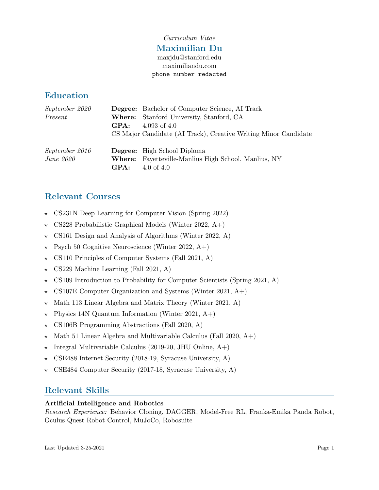## Curriculum Vitae Maximilian Du maxjdu@stanford.edu maximiliandu.com phone number redacted

## Education

| $September~2020 -$<br>Present   | GPA:           | <b>Degree:</b> Bachelor of Computer Science, AI Track<br><b>Where:</b> Stanford University, Stanford, CA<br>4.093 of $4.0$<br>CS Major Candidate (AI Track), Creative Writing Minor Candidate |
|---------------------------------|----------------|-----------------------------------------------------------------------------------------------------------------------------------------------------------------------------------------------|
| $September~2016 -$<br>June 2020 | Where:<br>GPA: | <b>Degree:</b> High School Diploma<br>Fayetteville-Manlius High School, Manlius, NY<br>4.0 of 4.0                                                                                             |

# Relevant Courses

- $\star$  CS231N Deep Learning for Computer Vision (Spring 2022)
- $\star$  CS228 Probabilistic Graphical Models (Winter 2022, A+)
- $\star$  CS161 Design and Analysis of Algorithms (Winter 2022, A)
- $\star$  Psych 50 Cognitive Neuroscience (Winter 2022, A+)
- $\star$  CS110 Principles of Computer Systems (Fall 2021, A)
- $\star$  CS229 Machine Learning (Fall 2021, A)
- $\star$  CS109 Introduction to Probability for Computer Scientists (Spring 2021, A)
- $\star$  CS107E Computer Organization and Systems (Winter 2021, A+)
- $\star$  Math 113 Linear Algebra and Matrix Theory (Winter 2021, A)
- $\star$  Physics 14N Quantum Information (Winter 2021, A+)
- $\star$  CS106B Programming Abstractions (Fall 2020, A)
- $\star$  Math 51 Linear Algebra and Multivariable Calculus (Fall 2020, A+)
- $\star$  Integral Multivariable Calculus (2019-20, JHU Online, A+)
- $\star$  CSE488 Internet Security (2018-19, Syracuse University, A)
- $\star$  CSE484 Computer Security (2017-18, Syracuse University, A)

## Relevant Skills

### Artificial Intelligence and Robotics

Research Experience: Behavior Cloning, DAGGER, Model-Free RL, Franka-Emika Panda Robot, Oculus Quest Robot Control, MuJoCo, Robosuite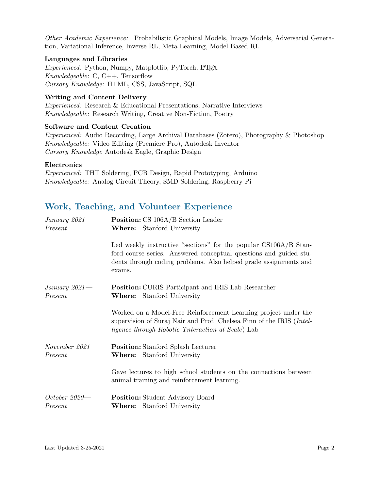Other Academic Experience: Probabilistic Graphical Models, Image Models, Adversarial Generation, Variational Inference, Inverse RL, Meta-Learning, Model-Based RL

#### Languages and Libraries

Experienced: Python, Numpy, Matplotlib, PyTorch, L<sup>AT</sup>EX Knowledgeable: C, C++, Tensorflow Cursory Knowledge: HTML, CSS, JavaScript, SQL

#### Writing and Content Delivery

Experienced: Research & Educational Presentations, Narrative Interviews Knowledgeable: Research Writing, Creative Non-Fiction, Poetry

#### Software and Content Creation

Experienced: Audio Recording, Large Archival Databases (Zotero), Photography & Photoshop Knowledgeable: Video Editing (Premiere Pro), Autodesk Inventor Cursory Knowledge Autodesk Eagle, Graphic Design

#### Electronics

Experienced: THT Soldering, PCB Design, Rapid Prototyping, Arduino Knowledgeable: Analog Circuit Theory, SMD Soldering, Raspberry Pi

## Work, Teaching, and Volunteer Experience

| January $2021$ —<br>Present | <b>Position:</b> CS 106A/B Section Leader<br><b>Where:</b> Stanford University                                                                                                                                      |
|-----------------------------|---------------------------------------------------------------------------------------------------------------------------------------------------------------------------------------------------------------------|
|                             | Led weekly instructive "sections" for the popular CS106A/B Stan-<br>ford course series. Answered conceptual questions and guided stu-<br>dents through coding problems. Also helped grade assignments and<br>exams. |
| January $2021$ —<br>Present | <b>Position:</b> CURIS Participant and IRIS Lab Researcher<br>Stanford University<br>$\mathbf{Where:}$                                                                                                              |
|                             | Worked on a Model-Free Reinforcement Learning project under the<br>supervision of Suraj Nair and Prof. Chelsea Finn of the IRIS ( <i>Intel-</i><br><i>ligence through Robotic Tnteraction at Scale</i> ) Lab        |
| November $2021-$<br>Present | <b>Position:</b> Stanford Splash Lecturer<br><b>Where:</b> Stanford University                                                                                                                                      |
|                             | Gave lectures to high school students on the connections between<br>animal training and reinforcement learning.                                                                                                     |
| $October 2020 -$<br>Present | <b>Position:</b> Student Advisory Board<br><b>Where:</b> Stanford University                                                                                                                                        |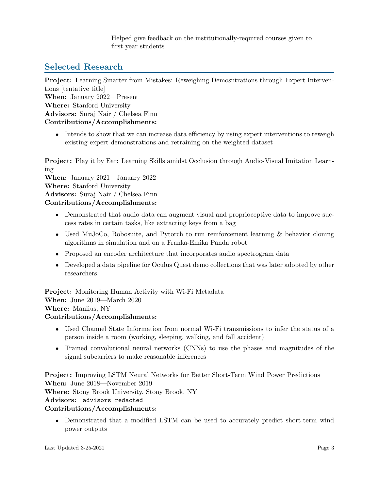Helped give feedback on the institutionally-required courses given to first-year students

# Selected Research

Project: Learning Smarter from Mistakes: Reweighing Demosntrations through Expert Interventions [tentative title] When: January 2022—Present Where: Stanford University Advisors: Suraj Nair / Chelsea Finn Contributions/Accomplishments:

• Intends to show that we can increase data efficiency by using expert interventions to reweigh existing expert demonstrations and retraining on the weighted dataset

Project: Play it by Ear: Learning Skills amidst Occlusion through Audio-Visual Imitation Learning

When: January 2021—January 2022 Where: Stanford University Advisors: Suraj Nair / Chelsea Finn Contributions/Accomplishments:

- Demonstrated that audio data can augment visual and proprioceptive data to improve success rates in certain tasks, like extracting keys from a bag
- Used MuJoCo, Robosuite, and Pytorch to run reinforcement learning & behavior cloning algorithms in simulation and on a Franka-Emika Panda robot
- Proposed an encoder architecture that incorporates audio spectrogram data
- Developed a data pipeline for Oculus Quest demo collections that was later adopted by other researchers.

Project: Monitoring Human Activity with Wi-Fi Metadata When: June 2019—March 2020 Where: Manlius, NY Contributions/Accomplishments:

- Used Channel State Information from normal Wi-Fi transmissions to infer the status of a person inside a room (working, sleeping, walking, and fall accident)
- Trained convolutional neural networks (CNNs) to use the phases and magnitudes of the signal subcarriers to make reasonable inferences

Project: Improving LSTM Neural Networks for Better Short-Term Wind Power Predictions When: June 2018—November 2019 Where: Stony Brook University, Stony Brook, NY Advisors: advisors redacted Contributions/Accomplishments:

• Demonstrated that a modified LSTM can be used to accurately predict short-term wind power outputs